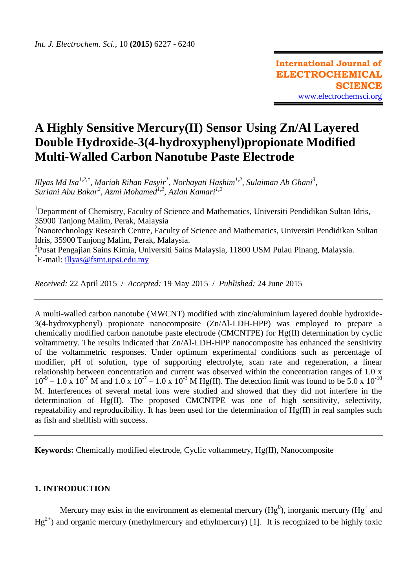# **A Highly Sensitive Mercury(II) Sensor Using Zn/Al Layered Double Hydroxide-3(4-hydroxyphenyl)propionate Modified Multi-Walled Carbon Nanotube Paste Electrode**

*Illyas Md Isa1,2,\*, Mariah Rihan Fasyir<sup>1</sup> , Norhayati Hashim1,2, Sulaiman Ab Ghani<sup>3</sup> , Suriani Abu Bakar<sup>2</sup> , Azmi Mohamed1,2, Azlan Kamari1,2*

<sup>1</sup>Department of Chemistry, Faculty of Science and Mathematics, Universiti Pendidikan Sultan Idris, 35900 Tanjong Malim, Perak, Malaysia

<sup>2</sup>Nanotechnology Research Centre, Faculty of Science and Mathematics, Universiti Pendidikan Sultan Idris, 35900 Tanjong Malim, Perak, Malaysia.

<sup>3</sup>Pusat Pengajian Sains Kimia, Universiti Sains Malaysia, 11800 USM Pulau Pinang, Malaysia. \* E-mail: [illyas@fsmt.upsi.edu.my](mailto:illyas@fsmt.upsi.edu.my)

*Received:* 22 April 2015/ *Accepted:* 19 May 2015 / *Published:* 24 June 2015

A multi-walled carbon nanotube (MWCNT) modified with zinc/aluminium layered double hydroxide-3(4-hydroxyphenyl) propionate nanocomposite (Zn/Al-LDH-HPP) was employed to prepare a chemically modified carbon nanotube paste electrode (CMCNTPE) for  $Hg(II)$  determination by cyclic voltammetry. The results indicated that Zn/Al-LDH-HPP nanocomposite has enhanced the sensitivity of the voltammetric responses. Under optimum experimental conditions such as percentage of modifier, pH of solution, type of supporting electrolyte, scan rate and regeneration, a linear relationship between concentration and current was observed within the concentration ranges of 1.0 x  $10^{-9} - 1.0 \times 10^{-7}$  M and  $1.0 \times 10^{-7} - 1.0 \times 10^{-3}$  M Hg(II). The detection limit was found to be 5.0 x  $10^{-10}$ M. Interferences of several metal ions were studied and showed that they did not interfere in the determination of Hg(II). The proposed CMCNTPE was one of high sensitivity, selectivity, repeatability and reproducibility. It has been used for the determination of Hg(II) in real samples such as fish and shellfish with success.

**Keywords:** Chemically modified electrode, Cyclic voltammetry, Hg(II), Nanocomposite

# **1. INTRODUCTION**

Mercury may exist in the environment as elemental mercury (Hg<sup>0</sup>), inorganic mercury (Hg<sup>+</sup> and  $Hg^{2+}$ ) and organic mercury (methylmercury and ethylmercury) [1]. It is recognized to be highly toxic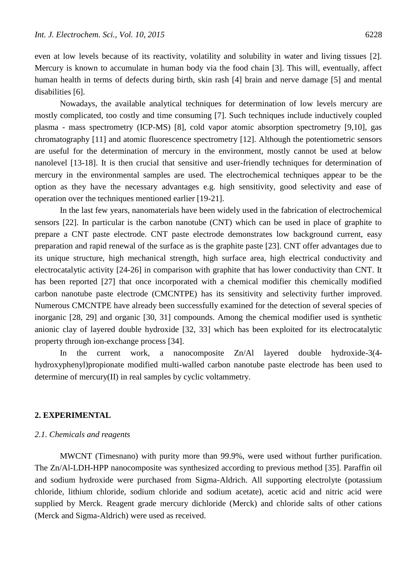even at low levels because of its reactivity, volatility and solubility in water and living tissues [2]. Mercury is known to accumulate in human body via the food chain [3]. This will, eventually, affect human health in terms of defects during birth, skin rash [4] brain and nerve damage [5] and mental disabilities [6].

Nowadays, the available analytical techniques for determination of low levels mercury are mostly complicated, too costly and time consuming [7]. Such techniques include inductively coupled plasma - mass spectrometry (ICP-MS) [8], cold vapor atomic absorption spectrometry [9,10], gas chromatography [11] and atomic fluorescence spectrometry [12]. Although the potentiometric sensors are useful for the determination of mercury in the environment, mostly cannot be used at below nanolevel [13-18]. It is then crucial that sensitive and user-friendly techniques for determination of mercury in the environmental samples are used. The electrochemical techniques appear to be the option as they have the necessary advantages e.g. high sensitivity, good selectivity and ease of operation over the techniques mentioned earlier [19-21].

In the last few years, nanomaterials have been widely used in the fabrication of electrochemical sensors [22]. In particular is the carbon nanotube (CNT) which can be used in place of graphite to prepare a CNT paste electrode. CNT paste electrode demonstrates low background current, easy preparation and rapid renewal of the surface as is the graphite paste [23]. CNT offer advantages due to its unique structure, high mechanical strength, high surface area, high electrical conductivity and electrocatalytic activity [24-26] in comparison with graphite that has lower conductivity than CNT. It has been reported [27] that once incorporated with a chemical modifier this chemically modified carbon nanotube paste electrode (CMCNTPE) has its sensitivity and selectivity further improved. Numerous CMCNTPE have already been successfully examined for the detection of several species of inorganic [28, 29] and organic [30, 31] compounds. Among the chemical modifier used is synthetic anionic clay of layered double hydroxide [32, 33] which has been exploited for its electrocatalytic property through ion-exchange process [34].

In the current work, a nanocomposite Zn/Al layered double hydroxide-3(4 hydroxyphenyl)propionate modified multi-walled carbon nanotube paste electrode has been used to determine of mercury(II) in real samples by cyclic voltammetry.

## **2. EXPERIMENTAL**

#### *2.1. Chemicals and reagents*

MWCNT (Timesnano) with purity more than 99.9%, were used without further purification. The Zn/Al-LDH-HPP nanocomposite was synthesized according to previous method [35]. Paraffin oil and sodium hydroxide were purchased from Sigma-Aldrich. All supporting electrolyte (potassium chloride, lithium chloride, sodium chloride and sodium acetate), acetic acid and nitric acid were supplied by Merck. Reagent grade mercury dichloride (Merck) and chloride salts of other cations (Merck and Sigma-Aldrich) were used as received.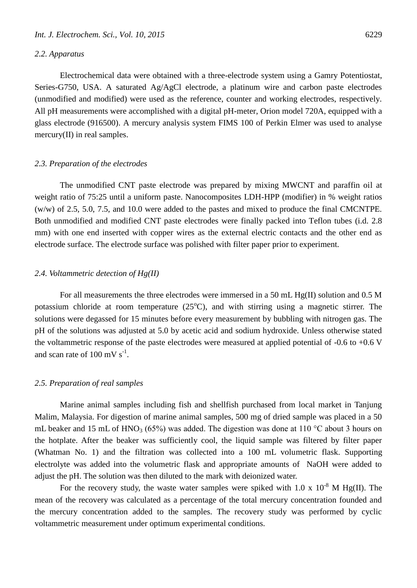#### *2.2. Apparatus*

Electrochemical data were obtained with a three-electrode system using a Gamry Potentiostat, Series-G750, USA. A saturated Ag/AgCl electrode, a platinum wire and carbon paste electrodes (unmodified and modified) were used as the reference, counter and working electrodes, respectively. All pH measurements were accomplished with a digital pH-meter, Orion model 720A, equipped with a glass electrode (916500). A mercury analysis system FIMS 100 of Perkin Elmer was used to analyse mercury(II) in real samples.

#### *2.3. Preparation of the electrodes*

The unmodified CNT paste electrode was prepared by mixing MWCNT and paraffin oil at weight ratio of 75:25 until a uniform paste. Nanocomposites LDH-HPP (modifier) in % weight ratios (w/w) of 2.5, 5.0, 7.5, and 10.0 were added to the pastes and mixed to produce the final CMCNTPE. Both unmodified and modified CNT paste electrodes were finally packed into Teflon tubes (i.d. 2.8 mm) with one end inserted with copper wires as the external electric contacts and the other end as electrode surface. The electrode surface was polished with filter paper prior to experiment.

## *2.4. Voltammetric detection of Hg(II)*

For all measurements the three electrodes were immersed in a 50 mL Hg(II) solution and 0.5 M potassium chloride at room temperature  $(25^{\circ}C)$ , and with stirring using a magnetic stirrer. The solutions were degassed for 15 minutes before every measurement by bubbling with nitrogen gas. The pH of the solutions was adjusted at 5.0 by acetic acid and sodium hydroxide. Unless otherwise stated the voltammetric response of the paste electrodes were measured at applied potential of -0.6 to +0.6 V and scan rate of  $100 \text{ mV s}^{-1}$ .

#### *2.5. Preparation of real samples*

Marine animal samples including fish and shellfish purchased from local market in Tanjung Malim, Malaysia. For digestion of marine animal samples, 500 mg of dried sample was placed in a 50 mL beaker and 15 mL of HNO<sub>3</sub> (65%) was added. The digestion was done at 110 °C about 3 hours on the hotplate. After the beaker was sufficiently cool, the liquid sample was filtered by filter paper (Whatman No. 1) and the filtration was collected into a 100 mL volumetric flask. Supporting electrolyte was added into the volumetric flask and appropriate amounts of NaOH were added to adjust the pH. The solution was then diluted to the mark with deionized water.

For the recovery study, the waste water samples were spiked with 1.0 x  $10^{-8}$  M Hg(II). The mean of the recovery was calculated as a percentage of the total mercury concentration founded and the mercury concentration added to the samples. The recovery study was performed by cyclic voltammetric measurement under optimum experimental conditions.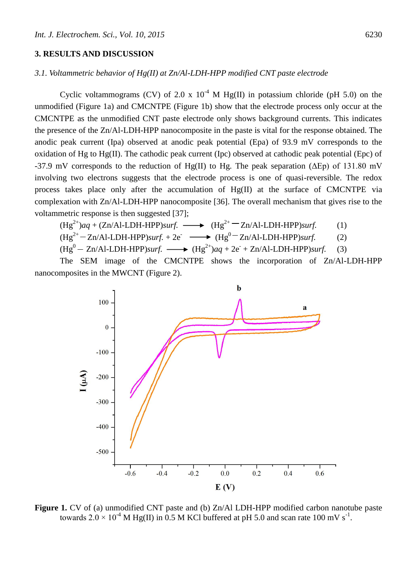## **3. RESULTS AND DISCUSSION**

# *3.1. Voltammetric behavior of Hg(II) at Zn/Al-LDH-HPP modified CNT paste electrode*

Cyclic voltammograms (CV) of 2.0 x  $10^{-4}$  M Hg(II) in potassium chloride (pH 5.0) on the unmodified (Figure 1a) and CMCNTPE (Figure 1b) show that the electrode process only occur at the CMCNTPE as the unmodified CNT paste electrode only shows background currents. This indicates the presence of the Zn/Al-LDH-HPP nanocomposite in the paste is vital for the response obtained. The anodic peak current (Ipa) observed at anodic peak potential (Epa) of 93.9 mV corresponds to the oxidation of Hg to Hg(II). The cathodic peak current (Ipc) observed at cathodic peak potential (Epc) of -37.9 mV corresponds to the reduction of Hg(II) to Hg. The peak separation ( $\Delta$ Ep) of 131.80 mV involving two electrons suggests that the electrode process is one of quasi-reversible. The redox process takes place only after the accumulation of Hg(II) at the surface of CMCNTPE via complexation with Zn/Al-LDH-HPP nanocomposite [36]. The overall mechanism that gives rise to the voltammetric response is then suggested [37];

$$
(\text{Hg}^{2+})aq + (\text{Zn}/\text{Al-LDH-HPP})\text{surf.} \longrightarrow (\text{Hg}^{2+} - \text{Zn}/\text{Al-LDH-HPP})\text{surf.} \tag{1}
$$

$$
(\text{Hg}^{2+} - \text{Zn/Al-LDH-HPP})\text{surf.} + 2e^- \longrightarrow (\text{Hg}^{0-} \text{Zn/Al-LDH-HPP})\text{surf.}
$$
 (2)

$$
(\text{Hg}^0 - \text{Zn}/\text{Al-LDH-HPP})\text{surf.} \longrightarrow (\text{Hg}^{2+})\text{aq} + 2\text{e}^{\cdot} + \text{Zn}/\text{Al-LDH-HPP})\text{surf.} \tag{3}
$$

The SEM image of the CMCNTPE shows the incorporation of Zn/Al-LDH-HPP nanocomposites in the MWCNT (Figure 2).



Figure 1. CV of (a) unmodified CNT paste and (b) Zn/Al LDH-HPP modified carbon nanotube paste towards  $2.0 \times 10^{-4}$  M Hg(II) in 0.5 M KCl buffered at pH 5.0 and scan rate 100 mV s<sup>-1</sup>.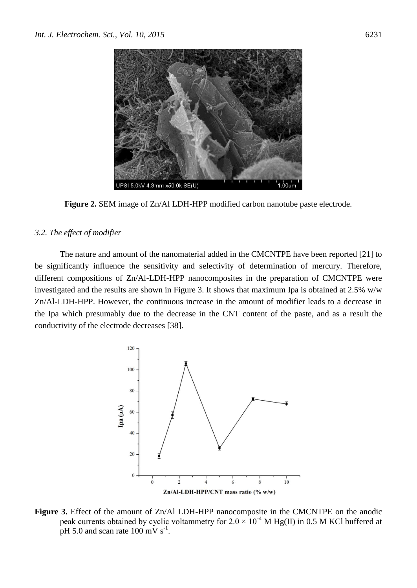

**Figure 2.** SEM image of Zn/Al LDH-HPP modified carbon nanotube paste electrode.

#### *3.2. The effect of modifier*

The nature and amount of the nanomaterial added in the CMCNTPE have been reported [21] to be significantly influence the sensitivity and selectivity of determination of mercury. Therefore, different compositions of Zn/Al-LDH-HPP nanocomposites in the preparation of CMCNTPE were investigated and the results are shown in Figure 3. It shows that maximum Ipa is obtained at 2.5% w/w Zn/Al-LDH-HPP. However, the continuous increase in the amount of modifier leads to a decrease in the Ipa which presumably due to the decrease in the CNT content of the paste, and as a result the conductivity of the electrode decreases [38].



**Figure 3.** Effect of the amount of Zn/Al LDH-HPP nanocomposite in the CMCNTPE on the anodic peak currents obtained by cyclic voltammetry for  $2.0 \times 10^{-4}$  M Hg(II) in 0.5 M KCl buffered at pH 5.0 and scan rate  $100 \text{ mV s}^{-1}$ .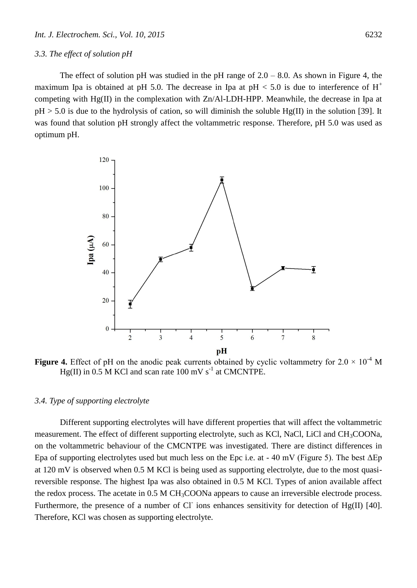#### *3.3. The effect of solution pH*

The effect of solution pH was studied in the pH range of  $2.0 - 8.0$ . As shown in Figure 4, the maximum Ipa is obtained at pH 5.0. The decrease in Ipa at pH  $< 5.0$  is due to interference of H<sup>+</sup> competing with Hg(II) in the complexation with Zn/Al-LDH-HPP. Meanwhile, the decrease in Ipa at  $pH > 5.0$  is due to the hydrolysis of cation, so will diminish the soluble  $Hg(II)$  in the solution [39]. It was found that solution pH strongly affect the voltammetric response. Therefore, pH 5.0 was used as optimum pH.



**Figure 4.** Effect of pH on the anodic peak currents obtained by cyclic voltammetry for  $2.0 \times 10^{-4}$  M  $Hg(II)$  in 0.5 M KCl and scan rate 100 mV s<sup>-1</sup> at CMCNTPE.

## *3.4. Type of supporting electrolyte*

Different supporting electrolytes will have different properties that will affect the voltammetric measurement. The effect of different supporting electrolyte, such as KCl, NaCl, LiCl and CH<sub>3</sub>COONa, on the voltammetric behaviour of the CMCNTPE was investigated. There are distinct differences in Epa of supporting electrolytes used but much less on the Epc i.e. at - 40 mV (Figure 5). The best ΔEp at 120 mV is observed when 0.5 M KCl is being used as supporting electrolyte, due to the most quasireversible response. The highest Ipa was also obtained in 0.5 M KCl. Types of anion available affect the redox process. The acetate in  $0.5 M CH<sub>3</sub>COONa$  appears to cause an irreversible electrode process. Furthermore, the presence of a number of Cl ions enhances sensitivity for detection of Hg(II) [40]. Therefore, KCl was chosen as supporting electrolyte.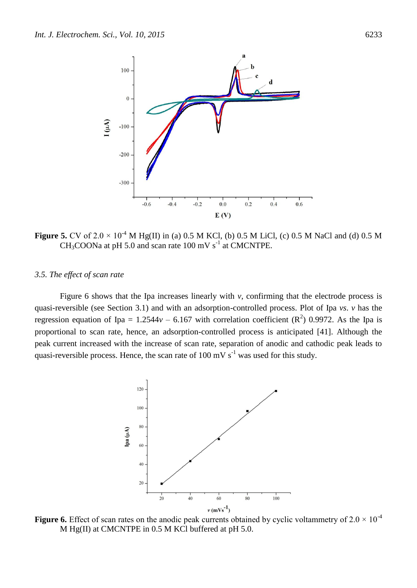

**Figure 5.** CV of 2.0  $\times$  10<sup>-4</sup> M Hg(II) in (a) 0.5 M KCl, (b) 0.5 M LiCl, (c) 0.5 M NaCl and (d) 0.5 M  $CH<sub>3</sub>COONa$  at pH 5.0 and scan rate 100 mV s<sup>-1</sup> at CMCNTPE.

## *3.5. The effect of scan rate*

Figure 6 shows that the Ipa increases linearly with *v*, confirming that the electrode process is quasi-reversible (see Section 3.1) and with an adsorption-controlled process. Plot of Ipa *vs*. *v* has the regression equation of Ipa =  $1.2544v - 6.167$  with correlation coefficient ( $\mathbb{R}^2$ ) 0.9972. As the Ipa is proportional to scan rate, hence, an adsorption-controlled process is anticipated [41]. Although the peak current increased with the increase of scan rate, separation of anodic and cathodic peak leads to quasi-reversible process. Hence, the scan rate of 100 mV  $s^{-1}$  was used for this study.



**Figure 6.** Effect of scan rates on the anodic peak currents obtained by cyclic voltammetry of  $2.0 \times 10^{-4}$ M Hg(II) at CMCNTPE in 0.5 M KCl buffered at pH 5.0.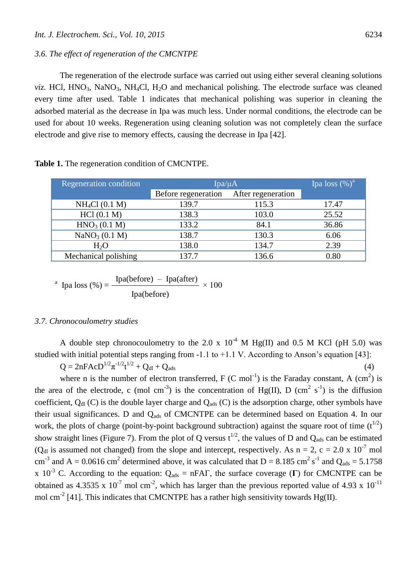## *3.6. The effect of regeneration of the CMCNTPE*

The regeneration of the electrode surface was carried out using either several cleaning solutions *viz.* HCl,  $HNO<sub>3</sub>$ , NaNO<sub>3</sub>, NH<sub>4</sub>Cl, H<sub>2</sub>O and mechanical polishing. The electrode surface was cleaned every time after used. Table 1 indicates that mechanical polishing was superior in cleaning the adsorbed material as the decrease in Ipa was much less. Under normal conditions, the electrode can be used for about 10 weeks. Regeneration using cleaning solution was not completely clean the surface electrode and give rise to memory effects, causing the decrease in Ipa [42].

| Regeneration condition    | Ipa/ $\mu$ A        | Ipa loss $(\%)^a$  |       |
|---------------------------|---------------------|--------------------|-------|
|                           | Before regeneration | After regeneration |       |
| $NH_4Cl (0.1 M)$          | 139.7               | 115.3              | 17.47 |
| HC1(0.1 M)                | 138.3               | 103.0              | 25.52 |
| HNO <sub>3</sub> (0.1 M)  | 133.2               | 84.1               | 36.86 |
| NaNO <sub>3</sub> (0.1 M) | 138.7               | 130.3              | 6.06  |
| $H_2O$                    | 138.0               | 134.7              | 2.39  |
| Mechanical polishing      | 137.7               | 136.6              | 0.80  |

**Table 1.** The regeneration condition of CMCNTPE.

<sup>a</sup> Ipa loss (
$$
\%
$$
) =  $\frac{Ipa(before) - Ipa(after)}{Ipa(before)} \times 100$ 

#### *3.7. Chronocoulometry studies*

A double step chronocoulometry to the 2.0 x  $10^{-4}$  M Hg(II) and 0.5 M KCl (pH 5.0) was studied with initial potential steps ranging from -1.1 to +1.1 V. According to Anson's equation [43]:

 $Q = 2nFAcD^{1/2}\pi^{1/2} + Q_{d1} + Q_{ads}$  (4)

where n is the number of electron transferred,  $F(C \text{ mol}^{-1})$  is the Faraday constant, A  $(\text{cm}^2)$  is the area of the electrode, c (mol cm<sup>-3</sup>) is the concentration of Hg(II), D (cm<sup>2</sup> s<sup>-1</sup>) is the diffusion coefficient,  $Q_{d}$  (C) is the double layer charge and  $Q_{ads}$  (C) is the adsorption charge, other symbols have their usual significances. D and Q<sub>ads</sub> of CMCNTPE can be determined based on Equation 4. In our work, the plots of charge (point-by-point background subtraction) against the square root of time  $(t^{1/2})$ show straight lines (Figure 7). From the plot of Q versus  $t^{1/2}$ , the values of D and Q<sub>ads</sub> can be estimated ( $Q<sub>dl</sub>$  is assumed not changed) from the slope and intercept, respectively. As n = 2, c = 2.0 x 10<sup>-7</sup> mol cm<sup>-3</sup> and A = 0.0616 cm<sup>2</sup> determined above, it was calculated that D = 8.185 cm<sup>2</sup> s<sup>-1</sup> and Q<sub>ads</sub> = 5.1758 x 10<sup>-3</sup> C. According to the equation:  $Q_{ads} = nFA\Gamma$ , the surface coverage (**Γ**) for CMCNTPE can be obtained as 4.3535 x  $10^{-7}$  mol cm<sup>-2</sup>, which has larger than the previous reported value of 4.93 x  $10^{-11}$ mol cm<sup>-2</sup> [41]. This indicates that CMCNTPE has a rather high sensitivity towards Hg(II).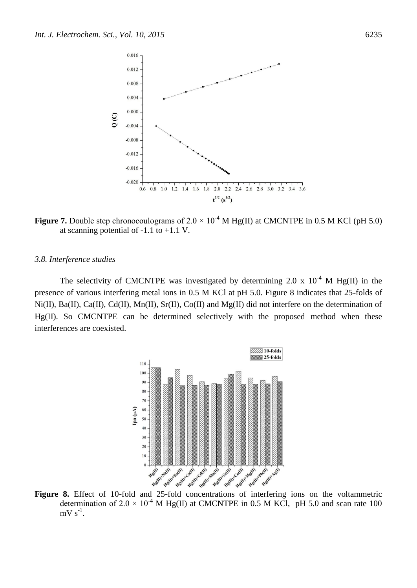

**Figure 7.** Double step chronocoulograms of  $2.0 \times 10^{-4}$  M Hg(II) at CMCNTPE in 0.5 M KCl (pH 5.0) at scanning potential of  $-1.1$  to  $+1.1$  V.

#### *3.8. Interference studies*

The selectivity of CMCNTPE was investigated by determining 2.0 x  $10^{-4}$  M Hg(II) in the presence of various interfering metal ions in 0.5 M KCl at pH 5.0. Figure 8 indicates that 25-folds of Ni(II), Ba(II), Ca(II), Cd(II), Mn(II), Sr(II), Co(II) and Mg(II) did not interfere on the determination of Hg(II). So CMCNTPE can be determined selectively with the proposed method when these interferences are coexisted.



determination of 2.0  $\times$  10<sup>-4</sup> M Hg(II) at CMCNTPE in 0.5 M KCl, pH 5.0 and scan rate 100  $mV s^{-1}$ .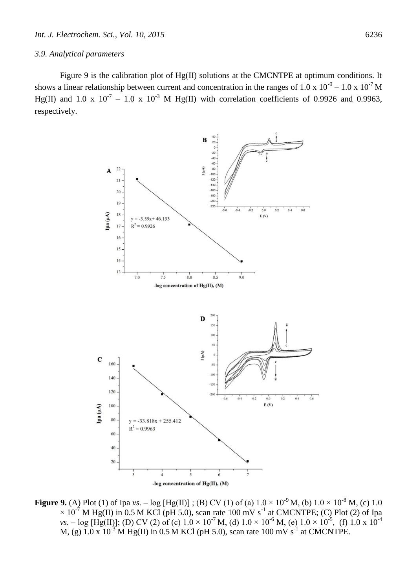#### *3.9. Analytical parameters*

Figure 9 is the calibration plot of Hg(II) solutions at the CMCNTPE at optimum conditions. It shows a linear relationship between current and concentration in the ranges of 1.0 x  $10^{-9} - 1.0 \times 10^{-7}$  M Hg(II) and 1.0 x  $10^{-7}$  – 1.0 x  $10^{-3}$  M Hg(II) with correlation coefficients of 0.9926 and 0.9963, respectively.



**Figure 9.** (A) Plot (1) of Ipa *vs.* – log [Hg(II)]; (B) CV (1) of (a)  $1.0 \times 10^{-9}$  M, (b)  $1.0 \times 10^{-8}$  M, (c)  $1.0$  $\times$  10<sup>-7</sup> M Hg(II) in 0.5 M KCl (pH 5.0), scan rate 100 mV s<sup>-1</sup> at CMCNTPE; (C) Plot (2) of Ipa *vs.*  $-$  log [Hg(II)]; (D) CV (2) of (c)  $1.0 \times 10^{-7}$  M, (d)  $1.0 \times 10^{-6}$  M, (e)  $1.0 \times 10^{-5}$ , (f)  $1.0 \times 10^{-4}$ M, (g)  $1.0 \times 10^{-3}$  M Hg(II) in 0.5 M KCl (pH 5.0), scan rate 100 mV s<sup>-1</sup> at CMCNTPE.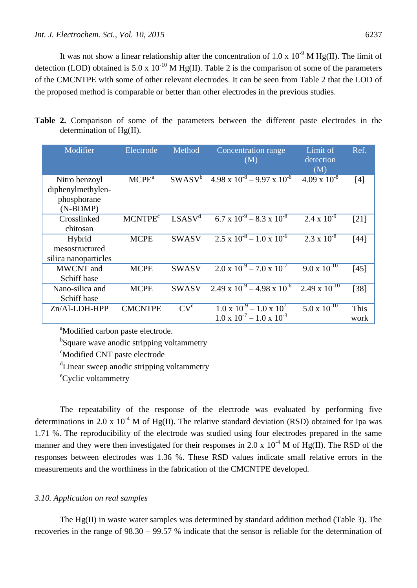It was not show a linear relationship after the concentration of 1.0 x  $10^{-9}$  M Hg(II). The limit of detection (LOD) obtained is 5.0 x 10<sup>-10</sup> M Hg(II). Table 2 is the comparison of some of the parameters of the CMCNTPE with some of other relevant electrodes. It can be seen from Table 2 that the LOD of the proposed method is comparable or better than other electrodes in the previous studies.

|  | Table 2. Comparison of some of the parameters between the different paste electrodes in the |  |  |  |  |  |  |
|--|---------------------------------------------------------------------------------------------|--|--|--|--|--|--|
|  | determination of $Hg(II)$ .                                                                 |  |  |  |  |  |  |

| Modifier                                                        | Electrode                 | Method             | Concentration range<br>(M)                                                            | Limit of<br>detection<br>(M) | Ref.         |
|-----------------------------------------------------------------|---------------------------|--------------------|---------------------------------------------------------------------------------------|------------------------------|--------------|
| Nitro benzoyl<br>diphenylmethylen-<br>phosphorane<br>$(N-BDMP)$ | $M$ C $PEa$               | $SWASV^b$          | $4.98 \times 10^{-8} - 9.97 \times 10^{-6}$                                           | $4.09 \times 10^{-8}$        | [4]          |
| Crosslinked<br>chitosan                                         | <b>MCNTPE<sup>c</sup></b> | LSASV <sup>d</sup> | $6.7 \times 10^{-9} - 8.3 \times 10^{-8}$                                             | 2.4 x $\overline{10^{-9}}$   | [21]         |
| Hybrid<br>mesostructured<br>silica nanoparticles                | <b>MCPE</b>               | <b>SWASV</b>       | $2.5 \times 10^{-8} - 1.0 \times 10^{-6}$                                             | $2.3 \times 10^{-8}$         | $[44]$       |
| MWCNT and<br>Schiff base                                        | <b>MCPE</b>               | <b>SWASV</b>       | $2.0 \times 10^{-9} - 7.0 \times 10^{-7}$                                             | $9.0 \times 10^{-10}$        | [45]         |
| Nano-silica and<br>Schiff base                                  | <b>MCPE</b>               | <b>SWASV</b>       | $2.49 \times 10^{-9} - 4.98 \times 10^{-6}$                                           | $2.49 \times 10^{-10}$       | $[38]$       |
| $Zn/Al-LDH-HPP$                                                 | <b>CMCNTPE</b>            | CV <sup>e</sup>    | $1.0 \times 10^{-9} - 1.0 \times 10^{7}$<br>$1.0 \times 10^{-7} - 1.0 \times 10^{-3}$ | $5.0 \times 10^{-10}$        | This<br>work |

<sup>a</sup>Modified carbon paste electrode.

<sup>b</sup>Square wave anodic stripping voltammetry

<sup>c</sup>Modified CNT paste electrode

<sup>d</sup>Linear sweep anodic stripping voltammetry

<sup>e</sup>Cyclic voltammetry

The repeatability of the response of the electrode was evaluated by performing five determinations in 2.0 x 10<sup>-4</sup> M of Hg(II). The relative standard deviation (RSD) obtained for Ipa was 1.71 %. The reproducibility of the electrode was studied using four electrodes prepared in the same manner and they were then investigated for their responses in 2.0 x  $10^{-4}$  M of Hg(II). The RSD of the responses between electrodes was 1.36 %. These RSD values indicate small relative errors in the measurements and the worthiness in the fabrication of the CMCNTPE developed.

## *3.10. Application on real samples*

The Hg(II) in waste water samples was determined by standard addition method (Table 3). The recoveries in the range of 98.30 – 99.57 % indicate that the sensor is reliable for the determination of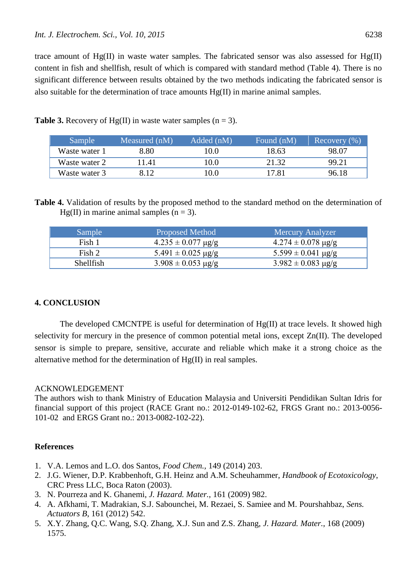trace amount of  $Hg(II)$  in waste water samples. The fabricated sensor was also assessed for  $Hg(II)$ content in fish and shellfish, result of which is compared with standard method (Table 4). There is no significant difference between results obtained by the two methods indicating the fabricated sensor is also suitable for the determination of trace amounts Hg(II) in marine animal samples.

| <b>Sample</b> | Measured (nM) | Added (nM) | Found (nM) | Recovery $(\% )$ |
|---------------|---------------|------------|------------|------------------|
| Waste water 1 | 8.80          | 10.0       | 18.63      | 98.07            |
| Waste water 2 | 1.41          | 10.0       | 21.32      | 99.21            |
| Waste water 3 | 8.12          | 10.0       | 17.81      | 96.18            |

**Table 3.** Recovery of Hg(II) in waste water samples  $(n = 3)$ .

**Table 4.** Validation of results by the proposed method to the standard method on the determination of  $Hg(II)$  in marine animal samples (n = 3).

| Sample           | <b>Proposed Method</b>         | <b>Mercury Analyzer</b>        |
|------------------|--------------------------------|--------------------------------|
| Fish 1           | $4.235 \pm 0.077 \text{ µg/g}$ | $4.274 \pm 0.078$ µg/g         |
| Fish 2           | $5.491 \pm 0.025 \text{ µg/g}$ | $5.599 \pm 0.041 \text{ µg/g}$ |
| <b>Shellfish</b> | $3.908 \pm 0.053 \text{ µg/g}$ | $3.982 \pm 0.083 \text{ µg/g}$ |

# **4. CONCLUSION**

The developed CMCNTPE is useful for determination of Hg(II) at trace levels. It showed high selectivity for mercury in the presence of common potential metal ions, except Zn(II). The developed sensor is simple to prepare, sensitive, accurate and reliable which make it a strong choice as the alternative method for the determination of Hg(II) in real samples.

#### ACKNOWLEDGEMENT

The authors wish to thank Ministry of Education Malaysia and Universiti Pendidikan Sultan Idris for financial support of this project (RACE Grant no.: 2012-0149-102-62, FRGS Grant no.: 2013-0056- 101-02 and ERGS Grant no.: 2013-0082-102-22).

# **References**

- 1. V.A. Lemos and L.O. dos Santos, *Food Chem.,* 149 (2014) 203.
- 2. J.G. Wiener, D.P. Krabbenhoft, G.H. Heinz and A.M. Scheuhammer, *Handbook of Ecotoxicology*, CRC Press LLC, Boca Raton (2003).
- 3. N. Pourreza and K. Ghanemi, *J. Hazard. Mater.*, 161 (2009) 982.
- 4. A. Afkhami, T. Madrakian, S.J. Sabounchei, M. Rezaei, S. Samiee and M. Pourshahbaz, *Sens. Actuators B*, 161 (2012) 542.
- 5. X.Y. Zhang, Q.C. Wang, S.Q. Zhang, X.J. Sun and Z.S. Zhang, *J. Hazard. Mater.*, 168 (2009) 1575.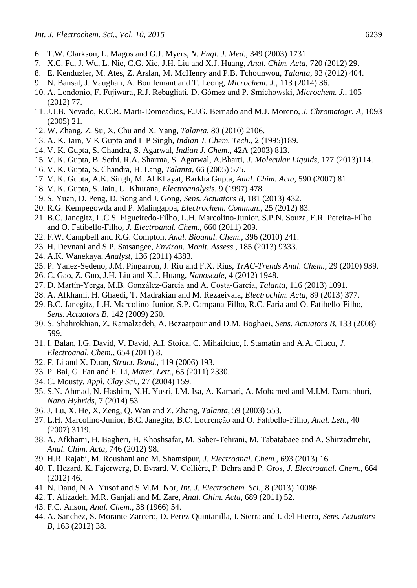- 6. T.W. Clarkson, L. Magos and G.J. Myers, *N. Engl. J. Med.*, 349 (2003) 1731.
- 7. X.C. Fu, J. Wu, L. Nie, C.G. Xie, J.H. Liu and X.J. Huang, *Anal. Chim. Acta*, 720 (2012) 29.
- 8. E. Kenduzler, M. Ates, Z. Arslan, M. McHenry and P.B. Tchounwou, *Talanta*, 93 (2012) 404.
- 9. N. Bansal, J. Vaughan, A. Boullemant and T. Leong, *Microchem. J.*, 113 (2014) 36.
- 10. A. Londonio, F. Fujiwara, R.J. Rebagliati, D. Gómez and P. Smichowski, *Microchem. J.*, 105 (2012) 77.
- 11. J.J.B. Nevado, R.C.R. Marti-Domeadios, F.J.G. Bernado and M.J. Moreno, *J. Chromatogr. A*, 1093 (2005) 21.
- 12. W. Zhang, Z. Su, X. Chu and X. Yang, *Talanta*, 80 (2010) 2106.
- 13. A. K. Jain, V K Gupta and L P Singh, *Indian J. Chem. Tech*., 2 (1995)189.
- 14. V. K. Gupta, S. Chandra, S. Agarwal, *Indian J. Chem*., 42A (2003) 813.
- 15. V. K. Gupta, B. Sethi, R.A. Sharma, S. Agarwal, A.Bharti, *J. Molecular Liquids*, 177 (2013)114.
- 16. V. K. Gupta, S. Chandra, H. Lang, *Talanta*, 66 (2005) 575.
- 17. V. K. Gupta, A.K. Singh, M. Al Khayat, Barkha Gupta, *Anal. Chim. Acta*, 590 (2007) 81.
- 18. V. K. Gupta, S. Jain, U. Khurana, *Electroanalysis*, 9 (1997) 478.
- 19. S. Yuan, D. Peng, D. Song and J. Gong, *Sens. Actuators B*, 181 (2013) 432.
- 20. R.G. Kempegowda and P. Malingappa, *Electrochem. Commun.*, 25 (2012) 83.
- 21. B.C. Janegitz, L.C.S. Figueiredo-Filho, L.H. Marcolino-Junior, S.P.N. Souza, E.R. Pereira-Filho and O. Fatibello-Filho, *J. Electroanal. Chem.*, 660 (2011) 209.
- 22. F.W. Campbell and R.G. Compton, *Anal. Bioanal. Chem.*, 396 (2010) 241.
- 23. H. Devnani and S.P. Satsangee, *Environ. Monit. Assess.*, 185 (2013) 9333.
- 24. A.K. Wanekaya, *Analyst*, 136 (2011) 4383.
- 25. P. Yanez-Sedeno, J.M. Pingarron, J. Riu and F.X. Rius, *TrAC-Trends Anal. Chem.*, 29 (2010) 939.
- 26. C. Gao, Z. Guo, J.H. Liu and X.J. Huang, *Nanoscale*, 4 (2012) 1948.
- 27. D. Martín-Yerga, M.B. González-García and A. Costa-García, *Talanta*, 116 (2013) 1091.
- 28. A. Afkhami, H. Ghaedi, T. Madrakian and M. Rezaeivala, *Electrochim. Acta*, 89 (2013) 377.
- 29. B.C. Janegitz, L.H. Marcolino-Junior, S.P. Campana-Filho, R.C. Faria and O. Fatibello-Filho, *Sens. Actuators B*, 142 (2009) 260.
- 30. S. Shahrokhian, Z. Kamalzadeh, A. Bezaatpour and D.M. Boghaei, *Sens. Actuators B*, 133 (2008) 599.
- 31. I. Balan, I.G. David, V. David, A.I. Stoica, C. Mihailciuc, I. Stamatin and A.A. Ciucu, *J. Electroanal. Chem.*, 654 (2011) 8.
- 32. F. Li and X. Duan, *Struct. Bond.*, 119 (2006) 193.
- 33. P. Bai, G. Fan and F. Li, *Mater. Lett.*, 65 (2011) 2330.
- 34. C. Mousty, *Appl. Clay Sci.*, 27 (2004) 159.
- 35. S.N. Ahmad, N. Hashim, N.H. Yusri, I.M. Isa, A. Kamari, A. Mohamed and M.I.M. Damanhuri, *Nano Hybrids*, 7 (2014) 53.
- 36. J. Lu, X. He, X. Zeng, Q. Wan and Z. Zhang, *Talanta*, 59 (2003) 553.
- 37. L.H. Marcolino-Junior, B.C. Janegitz, B.C. Lourenção and O. Fatibello-Filho, *Anal. Lett.*, 40 (2007) 3119.
- 38. A. Afkhami, H. Bagheri, H. Khoshsafar, M. Saber-Tehrani, M. Tabatabaee and A. Shirzadmehr, *Anal. Chim. Acta*, 746 (2012) 98.
- 39. H.R. Rajabi, M. Roushani and M. Shamsipur, *J. Electroanal. Chem.*, 693 (2013) 16.
- 40. T. Hezard, K. Fajerwerg, D. Evrard, V. Collière, P. Behra and P. Gros, *J. Electroanal. Chem.*, 664 (2012) 46.
- 41. N. Daud, N.A. Yusof and S.M.M. Nor, *Int. J. Electrochem. Sci.*, 8 (2013) 10086.
- 42. T. Alizadeh, M.R. Ganjali and M. Zare, *Anal. Chim. Acta*, 689 (2011) 52.
- 43. F.C. Anson, *Anal. Chem.*, 38 (1966) 54.
- 44. A. Sanchez, S. Morante-Zarcero, D. Perez-Quintanilla, I. Sierra and I. del Hierro, *Sens. Actuators B*, 163 (2012) 38.